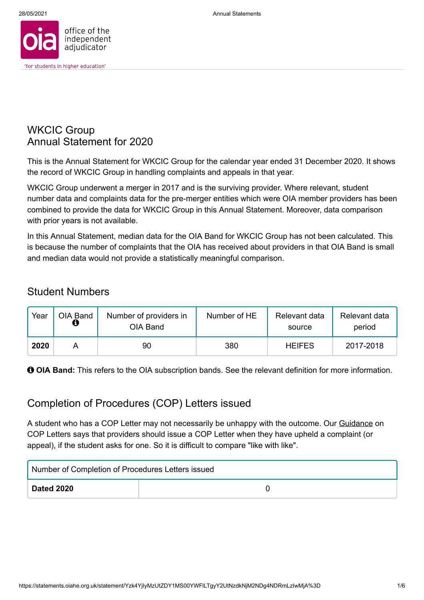

### WKCIC Group Annual Statement for 2020

This is the Annual Statement for WKCIC Group for the calendar year ended 31 December 2020. It shows the record of WKCIC Group in handling complaints and appeals in that year.

WKCIC Group underwent a merger in 2017 and is the surviving provider. Where relevant, student number data and complaints data for the pre-merger entities which were OIA member providers has been combined to provide the data for WKCIC Group in this Annual Statement. Moreover, data comparison with prior years is not available.

In this Annual Statement, median data for the OIA Band for WKCIC Group has not been calculated. This is because the number of complaints that the OIA has received about providers in that OIA Band is small and median data would not provide a statistically meaningful comparison.

### Student Numbers

| Year | OIA Band<br>Ô | Number of providers in<br>OIA Band | Number of HE | Relevant data<br>source | Relevant data<br>period |
|------|---------------|------------------------------------|--------------|-------------------------|-------------------------|
| 2020 |               | 90                                 | 380          | <b>HEIFES</b>           | 2017-2018               |

 $\Theta$  **OIA Band:** This refers to the OIA subscription bands. See the relevant definition for more information.

### Completion of Procedures (COP) Letters issued

A student who has a COP Letter may not necessarily be unhappy with the outcome. Our [Guidance](http://www.oiahe.org.uk/providers-and-good-practice/completion-of-procedures-letter.aspx) on COP Letters says that providers should issue a COP Letter when they have upheld a complaint (or appeal), if the student asks for one. So it is difficult to compare "like with like".

| Number of Completion of Procedures Letters issued |  |  |
|---------------------------------------------------|--|--|
| Dated 2020                                        |  |  |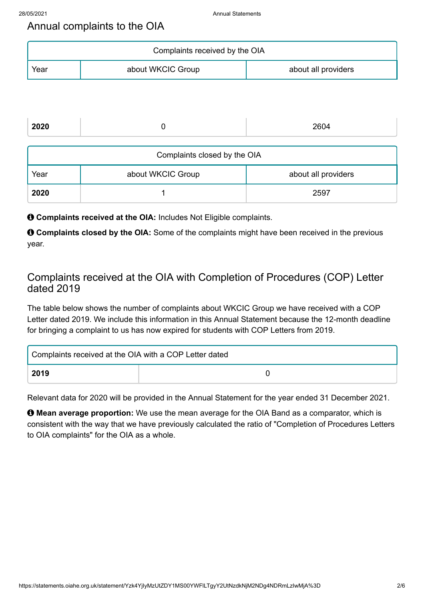### Annual complaints to the OIA

| Complaints received by the OIA |                   |                     |  |
|--------------------------------|-------------------|---------------------|--|
| Year                           | about WKCIC Group | about all providers |  |

| 2020                         |                   | 2604                |  |  |
|------------------------------|-------------------|---------------------|--|--|
| Complaints closed by the OIA |                   |                     |  |  |
| Year                         | about WKCIC Group | about all providers |  |  |
| 2020                         |                   | 2597                |  |  |

 $\theta$  **Complaints received at the OIA: Includes Not Eligible complaints.** 

 **Complaints closed by the OIA:** Some of the complaints might have been received in the previous year.

### Complaints received at the OIA with Completion of Procedures (COP) Letter dated 2019

The table below shows the number of complaints about WKCIC Group we have received with a COP Letter dated 2019. We include this information in this Annual Statement because the 12-month deadline for bringing a complaint to us has now expired for students with COP Letters from 2019.

| Complaints received at the OIA with a COP Letter dated |  |  |
|--------------------------------------------------------|--|--|
| 2019                                                   |  |  |

Relevant data for 2020 will be provided in the Annual Statement for the year ended 31 December 2021.

 $\Theta$  **Mean average proportion:** We use the mean average for the OIA Band as a comparator, which is consistent with the way that we have previously calculated the ratio of "Completion of Procedures Letters to OIA complaints" for the OIA as a whole.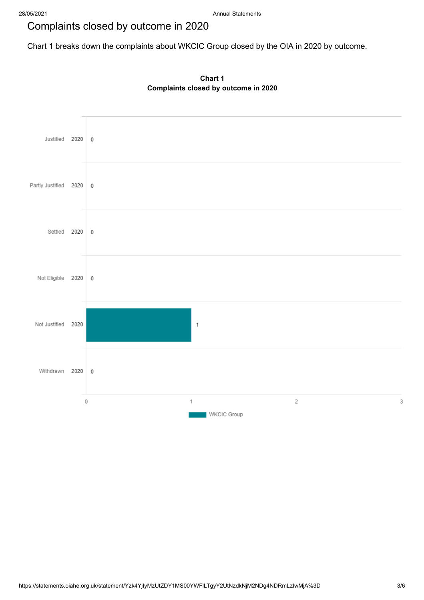## Complaints closed by outcome in 2020

Chart 1 breaks down the complaints about WKCIC Group closed by the OIA in 2020 by outcome.



**Chart 1 Complaints closed by outcome in 2020**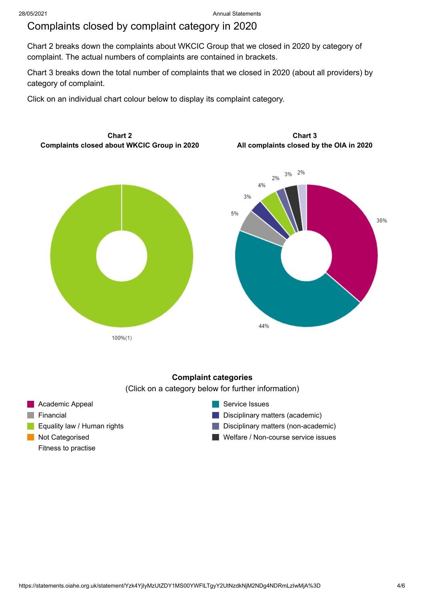### Complaints closed by complaint category in 2020

Chart 2 breaks down the complaints about WKCIC Group that we closed in 2020 by category of complaint. The actual numbers of complaints are contained in brackets.

Chart 3 breaks down the total number of complaints that we closed in 2020 (about all providers) by category of complaint.

Click on an individual chart colour below to display its complaint category.



### **Complaint categories**

(Click on a category below for further information)

Academic Appeal  $\blacksquare$  Financial **Equality law / Human rights Not Categorised** Fitness to practise

Service Issues

**Disciplinary matters (academic)** 

Disciplinary matters (non-academic)

Welfare / Non-course service issues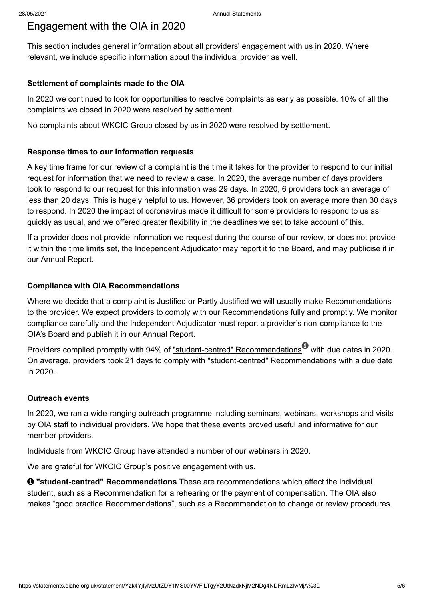### Engagement with the OIA in 2020

This section includes general information about all providers' engagement with us in 2020. Where relevant, we include specific information about the individual provider as well.

#### **Settlement of complaints made to the OIA**

In 2020 we continued to look for opportunities to resolve complaints as early as possible. 10% of all the complaints we closed in 2020 were resolved by settlement.

No complaints about WKCIC Group closed by us in 2020 were resolved by settlement.

#### **Response times to our information requests**

A key time frame for our review of a complaint is the time it takes for the provider to respond to our initial request for information that we need to review a case. In 2020, the average number of days providers took to respond to our request for this information was 29 days. In 2020, 6 providers took an average of less than 20 days. This is hugely helpful to us. However, 36 providers took on average more than 30 days to respond. In 2020 the impact of coronavirus made it difficult for some providers to respond to us as quickly as usual, and we offered greater flexibility in the deadlines we set to take account of this.

If a provider does not provide information we request during the course of our review, or does not provide it within the time limits set, the Independent Adjudicator may report it to the Board, and may publicise it in our Annual Report.

#### **Compliance with OIA Recommendations**

Where we decide that a complaint is Justified or Partly Justified we will usually make Recommendations to the provider. We expect providers to comply with our Recommendations fully and promptly. We monitor compliance carefully and the Independent Adjudicator must report a provider's non-compliance to the OIA's Board and publish it in our Annual Report.

Providers complied promptly with 94% of <u>"student-centred" Recommendations</u> with due dates in 2020. On average, providers took 21 days to comply with "student-centred" Recommendations with a due date in 2020.

#### **Outreach events**

In 2020, we ran a wide-ranging outreach programme including seminars, webinars, workshops and visits by OIA staff to individual providers. We hope that these events proved useful and informative for our member providers.

Individuals from WKCIC Group have attended a number of our webinars in 2020.

We are grateful for WKCIC Group's positive engagement with us.

 $\bullet$  **"student-centred" Recommendations** These are recommendations which affect the individual student, such as a Recommendation for a rehearing or the payment of compensation. The OIA also makes "good practice Recommendations", such as a Recommendation to change or review procedures.